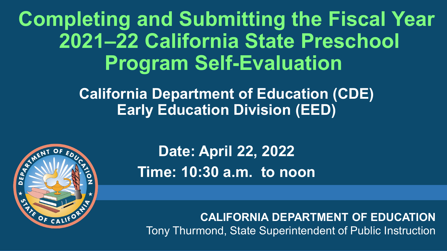## **Completing and Submitting the Fiscal Year 2021–22 California State Preschool Program Self-Evaluation**

#### **California Department of Education (CDE) Early Education Division (EED)**



**Date: April 22, 2022 Time: 10:30 a.m. to noon**

**CALIFORNIA DEPARTMENT OF EDUCATION** Tony Thurmond, State Superintendent of Public Instruction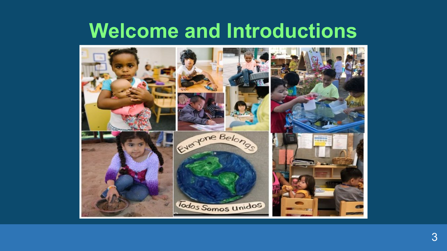## **Welcome and Introductions**

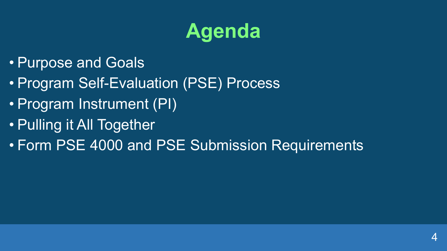# **Agenda**

- Purpose and Goals
- Program Self-Evaluation (PSE) Process
- Program Instrument (PI)
- Pulling it All Together
- Form PSE 4000 and PSE Submission Requirements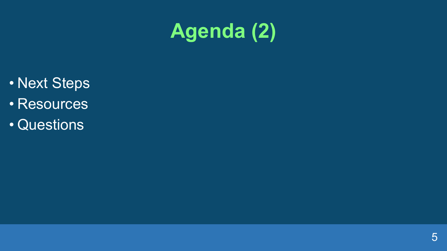# **Agenda (2)**

- Next Steps
- Resources
- Questions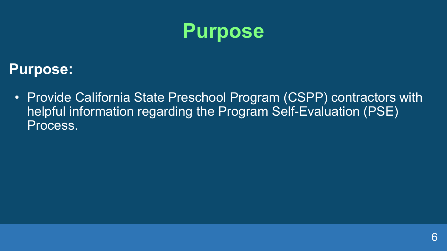

#### **Purpose:**

• Provide California State Preschool Program (CSPP) contractors with helpful information regarding the Program Self-Evaluation (PSE) Process.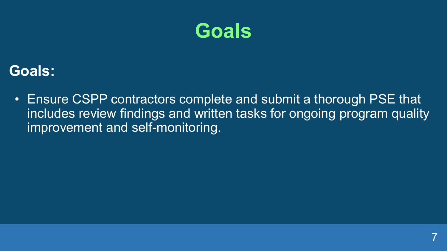

#### **Goals:**

• Ensure CSPP contractors complete and submit a thorough PSE that includes review findings and written tasks for ongoing program quality improvement and self-monitoring.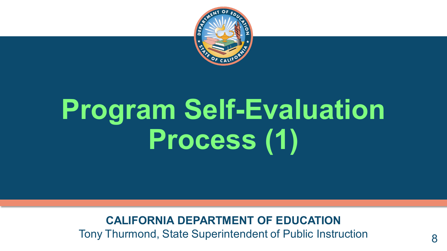

# **Program Self-Evaluation Process (1)**

**CALIFORNIA DEPARTMENT OF EDUCATION**

Tony Thurmond, State Superintendent of Public Instruction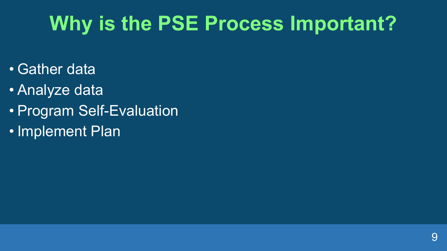# **Why is the PSE Process Important?**

- Gather data
- Analyze data
- Program Self-Evaluation
- Implement Plan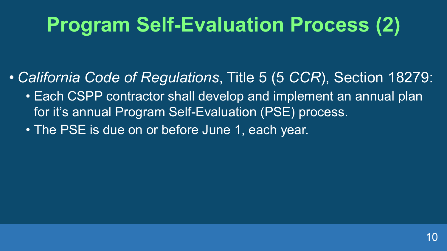# **Program Self-Evaluation Process (2)**

- *California Code of Regulations*, Title 5 (5 *CCR*), Section 18279:
	- Each CSPP contractor shall develop and implement an annual plan for it's annual Program Self-Evaluation (PSE) process.
	- The PSE is due on or before June 1, each year.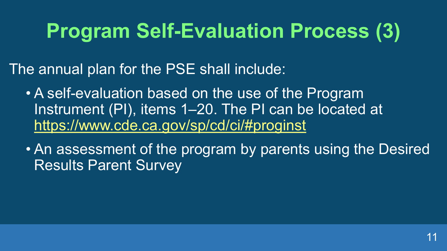# **Program Self-Evaluation Process (3)**

The annual plan for the PSE shall include:

- A self-evaluation based on the use of the Program Instrument (PI), items 1–20. The PI can be located at <https://www.cde.ca.gov/sp/cd/ci/#proginst>
- An assessment of the program by parents using the Desired Results Parent Survey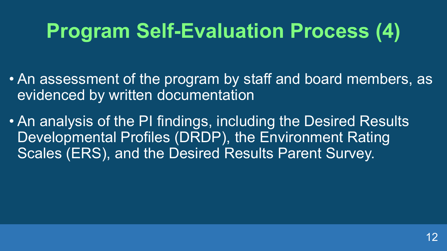# **Program Self-Evaluation Process (4)**

- An assessment of the program by staff and board members, as evidenced by written documentation
- An analysis of the PI findings, including the Desired Results Developmental Profiles (DRDP), the Environment Rating Scales (ERS), and the Desired Results Parent Survey.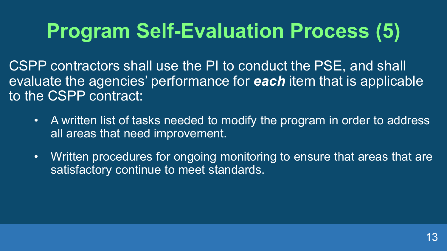# **Program Self-Evaluation Process (5)**

CSPP contractors shall use the PI to conduct the PSE, and shall evaluate the agencies' performance for *each* item that is applicable to the CSPP contract:

- A written list of tasks needed to modify the program in order to address all areas that need improvement.
- Written procedures for ongoing monitoring to ensure that areas that are satisfactory continue to meet standards.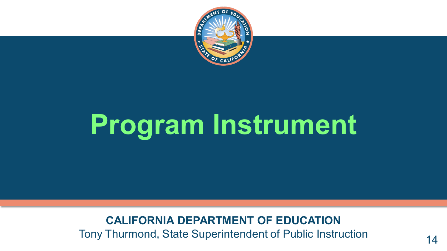

# **Program Instrument**

#### **CALIFORNIA DEPARTMENT OF EDUCATION**

Tony Thurmond, State Superintendent of Public Instruction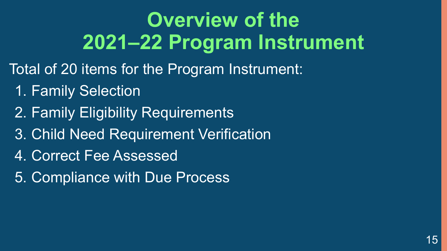# **Overview of the 2021–22 Program Instrument**

- Total of 20 items for the Program Instrument:
	- 1. Family Selection
	- 2. Family Eligibility Requirements
	- 3. Child Need Requirement Verification
	- 4. Correct Fee Assessed
	- 5. Compliance with Due Process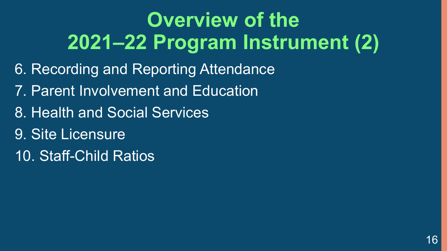# **Overview of the 2021–22 Program Instrument (2)**

- 6. Recording and Reporting Attendance
- 7. Parent Involvement and Education
- 8. Health and Social Services
- 9. Site Licensure
- 10. Staff-Child Ratios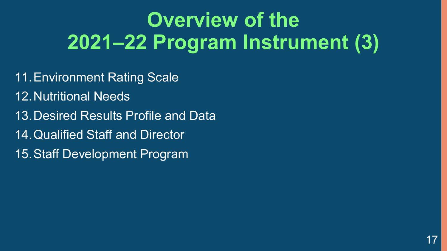# **Overview of the 2021–22 Program Instrument (3)**

- 11.Environment Rating Scale 12.Nutritional Needs
- 13.Desired Results Profile and Data
- 14.Qualified Staff and Director
- 15.Staff Development Program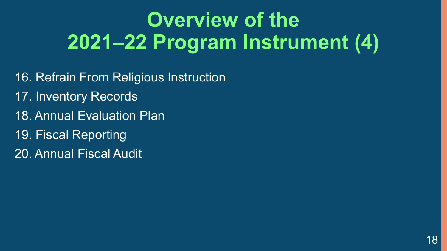# **Overview of the 2021–22 Program Instrument (4)**

- 16. Refrain From Religious Instruction
- 17. Inventory Records
- 18. Annual Evaluation Plan
- 19. Fiscal Reporting
- 20. Annual Fiscal Audit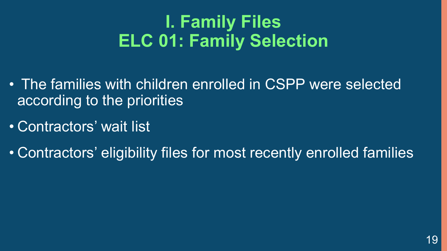## **I. Family Files ELC 01: Family Selection**

- The families with children enrolled in CSPP were selected according to the priorities
- Contractors' wait list
- Contractors' eligibility files for most recently enrolled families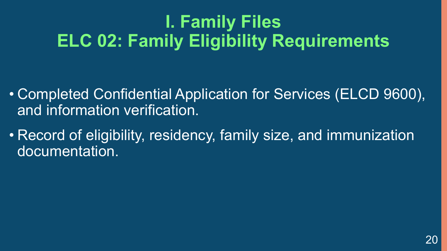## **I. Family Files ELC 02: Family Eligibility Requirements**

- Completed Confidential Application for Services (ELCD 9600), and information verification.
- Record of eligibility, residency, family size, and immunization documentation.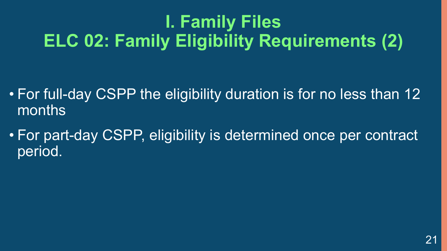## **I. Family Files ELC 02: Family Eligibility Requirements (2)**

- For full-day CSPP the eligibility duration is for no less than 12 months
- For part-day CSPP, eligibility is determined once per contract period.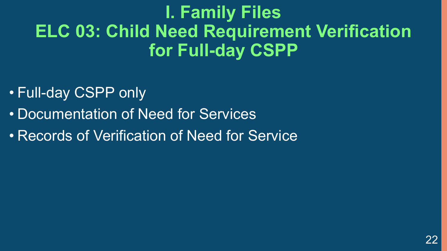#### **I. Family Files ELC 03: Child Need Requirement Verification for Full-day CSPP**

- Full-day CSPP only
- Documentation of Need for Services
- Records of Verification of Need for Service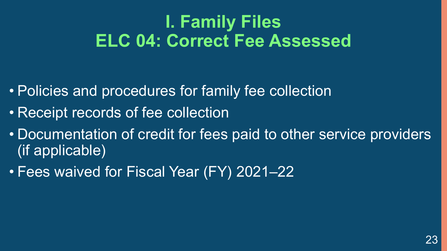#### **I. Family Files ELC 04: Correct Fee Assessed**

- Policies and procedures for family fee collection
- Receipt records of fee collection
- Documentation of credit for fees paid to other service providers (if applicable)
- Fees waived for Fiscal Year (FY) 2021–22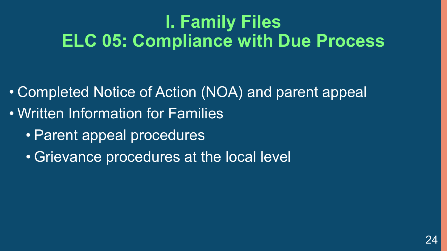#### **I. Family Files ELC 05: Compliance with Due Process**

- Completed Notice of Action (NOA) and parent appeal
- Written Information for Families
	- Parent appeal procedures
	- Grievance procedures at the local level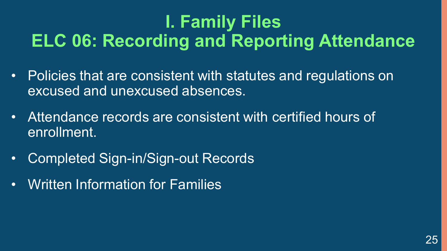## **I. Family Files ELC 06: Recording and Reporting Attendance**

- Policies that are consistent with statutes and regulations on excused and unexcused absences.
- Attendance records are consistent with certified hours of enrollment.
- Completed Sign-in/Sign-out Records
- Written Information for Families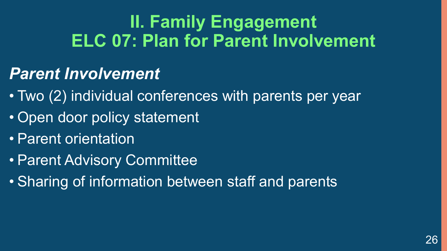#### **II. Family Engagement ELC 07: Plan for Parent Involvement**

#### *Parent Involvement*

- Two (2) individual conferences with parents per year
- Open door policy statement
- Parent orientation
- Parent Advisory Committee
- Sharing of information between staff and parents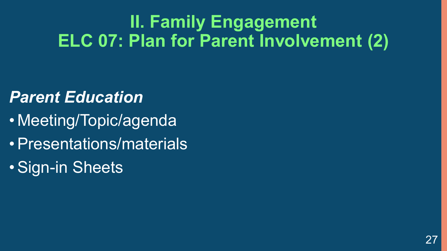#### **II. Family Engagement ELC 07: Plan for Parent Involvement (2)**

#### *Parent Education*

- Meeting/Topic/agenda
- •Presentations/materials
- •Sign-in Sheets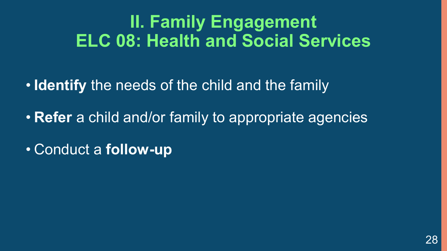#### **II. Family Engagement ELC 08: Health and Social Services**

• **Identify** the needs of the child and the family

• **Refer** a child and/or family to appropriate agencies

• Conduct a **follow-up**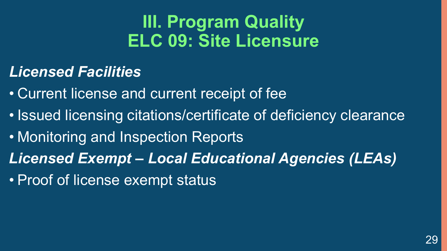#### **III. Program Quality ELC 09: Site Licensure**

#### *Licensed Facilities*

• Current license and current receipt of fee

- Issued licensing citations/certificate of deficiency clearance
- Monitoring and Inspection Reports
- *Licensed Exempt – Local Educational Agencies (LEAs)*
- Proof of license exempt status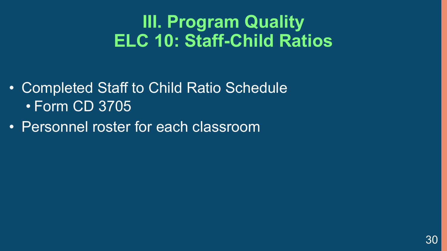#### **III. Program Quality ELC 10: Staff-Child Ratios**

- Completed Staff to Child Ratio Schedule • Form CD 3705
- Personnel roster for each classroom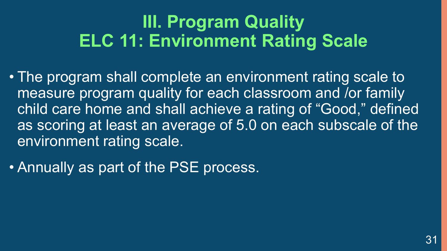#### **III. Program Quality ELC 11: Environment Rating Scale**

- The program shall complete an environment rating scale to measure program quality for each classroom and /or family child care home and shall achieve a rating of "Good," defined as scoring at least an average of 5.0 on each subscale of the environment rating scale.
- Annually as part of the PSE process.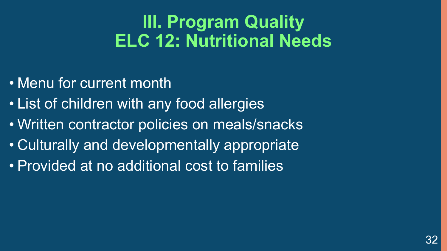#### **III. Program Quality ELC 12: Nutritional Needs**

- Menu for current month
- List of children with any food allergies
- Written contractor policies on meals/snacks
- Culturally and developmentally appropriate
- Provided at no additional cost to families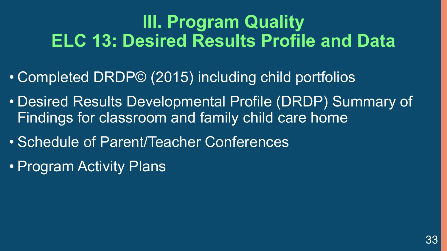#### **III. Program Quality ELC 13: Desired Results Profile and Data**

- Completed DRDP© (2015) including child portfolios
- Desired Results Developmental Profile (DRDP) Summary of Findings for classroom and family child care home
- Schedule of Parent/Teacher Conferences
- Program Activity Plans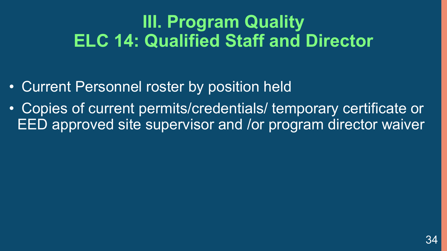#### **III. Program Quality ELC 14: Qualified Staff and Director**

- Current Personnel roster by position held
- Copies of current permits/credentials/ temporary certificate or EED approved site supervisor and /or program director waiver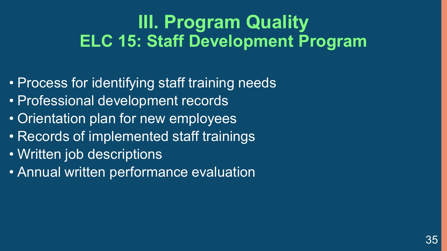#### **III. Program Quality ELC 15: Staff Development Program**

- Process for identifying staff training needs
- Professional development records
- Orientation plan for new employees
- Records of implemented staff trainings
- Written job descriptions
- Annual written performance evaluation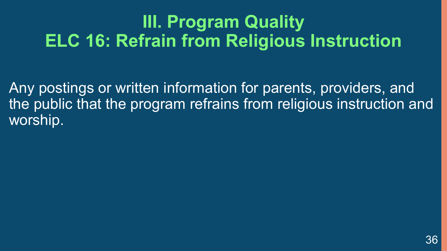#### **III. Program Quality ELC 16: Refrain from Religious Instruction**

Any postings or written information for parents, providers, and the public that the program refrains from religious instruction and worship.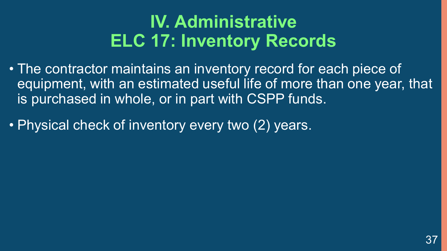#### **IV. Administrative ELC 17: Inventory Records**

- The contractor maintains an inventory record for each piece of equipment, with an estimated useful life of more than one year, that is purchased in whole, or in part with CSPP funds.
- Physical check of inventory every two (2) years.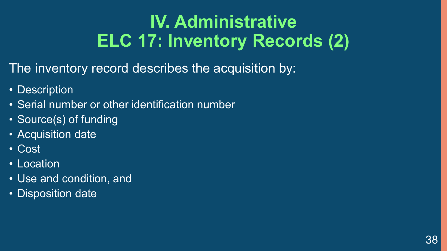## **IV. Administrative ELC 17: Inventory Records (2)**

The inventory record describes the acquisition by:

- Description
- Serial number or other identification number
- Source(s) of funding
- Acquisition date
- Cost
- Location
- Use and condition, and
- Disposition date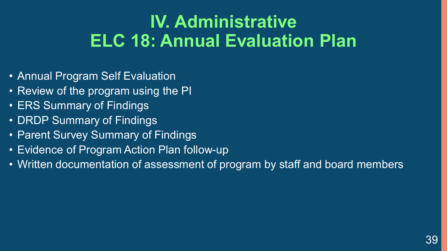#### **IV. Administrative ELC 18: Annual Evaluation Plan**

- Annual Program Self Evaluation
- Review of the program using the PI
- ERS Summary of Findings
- DRDP Summary of Findings
- Parent Survey Summary of Findings
- Evidence of Program Action Plan follow-up
- Written documentation of assessment of program by staff and board members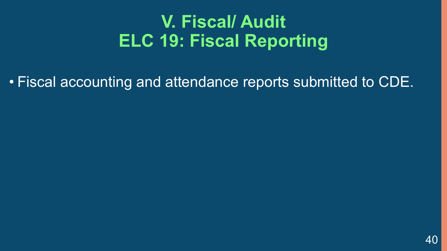#### **V. Fiscal/ Audit ELC 19: Fiscal Reporting**

• Fiscal accounting and attendance reports submitted to CDE.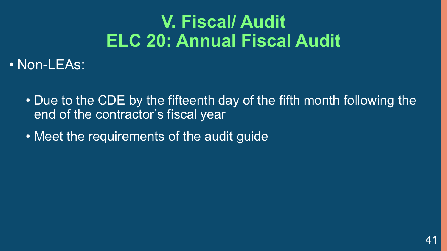## **V. Fiscal/ Audit ELC 20: Annual Fiscal Audit**

• Non-LEAs:

- Due to the CDE by the fifteenth day of the fifth month following the end of the contractor's fiscal year
- Meet the requirements of the audit guide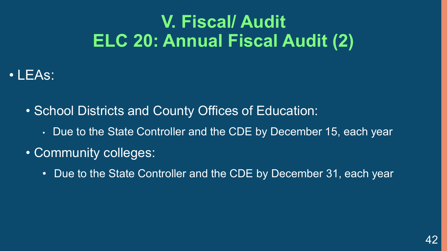## **V. Fiscal/ Audit ELC 20: Annual Fiscal Audit (2)**

#### • LEAs:

- School Districts and County Offices of Education:
	- Due to the State Controller and the CDE by December 15, each year
- Community colleges:
	- Due to the State Controller and the CDE by December 31, each year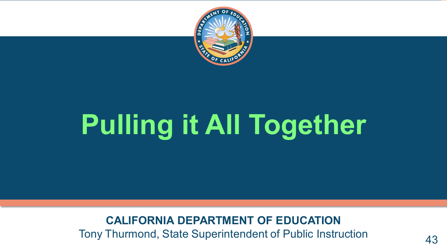

# **Pulling it All Together**

**CALIFORNIA DEPARTMENT OF EDUCATION**

Tony Thurmond, State Superintendent of Public Instruction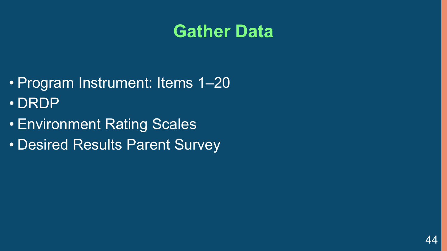#### **Gather Data**

- Program Instrument: Items 1–20 • DRDP
- Environment Rating Scales
- Desired Results Parent Survey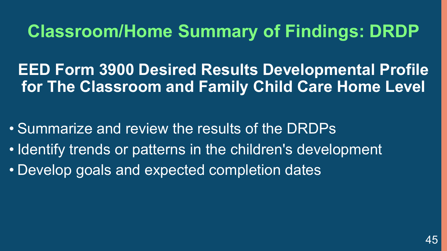#### **Classroom/Home Summary of Findings: DRDP**

**EED Form 3900 Desired Results Developmental Profile for The Classroom and Family Child Care Home Level**

• Summarize and review the results of the DRDPs

- Identify trends or patterns in the children's development
- Develop goals and expected completion dates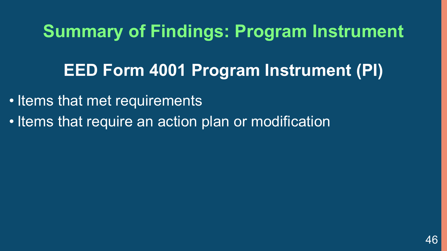## **Summary of Findings: Program Instrument**

#### **EED Form 4001 Program Instrument (PI)**

- Items that met requirements
- Items that require an action plan or modification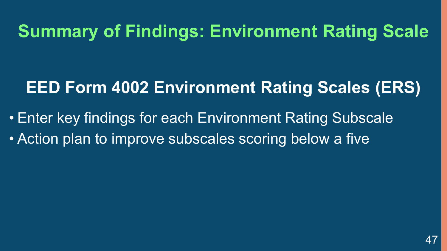#### **Summary of Findings: Environment Rating Scale**

#### **EED Form 4002 Environment Rating Scales (ERS)**

• Enter key findings for each Environment Rating Subscale • Action plan to improve subscales scoring below a five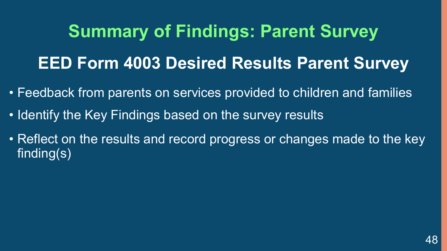**Summary of Findings: Parent Survey EED Form 4003 Desired Results Parent Survey** 

- Feedback from parents on services provided to children and families
- Identify the Key Findings based on the survey results
- Reflect on the results and record progress or changes made to the key finding(s)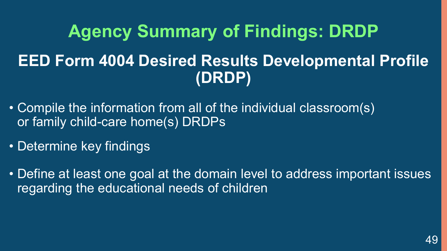# **Agency Summary of Findings: DRDP EED Form 4004 Desired Results Developmental Profile (DRDP)**

- Compile the information from all of the individual classroom(s) or family child-care home(s) DRDPs
- Determine key findings
- Define at least one goal at the domain level to address important issues regarding the educational needs of children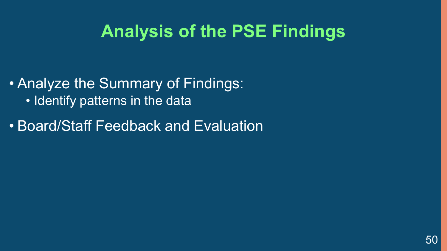#### **Analysis of the PSE Findings**

• Analyze the Summary of Findings: • Identify patterns in the data

• Board/Staff Feedback and Evaluation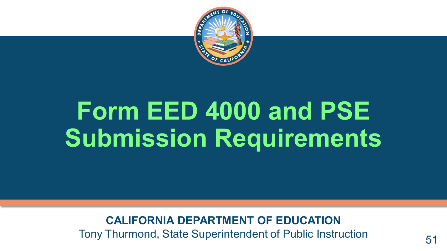

# **Form EED 4000 and PSE Submission Requirements**

**CALIFORNIA DEPARTMENT OF EDUCATION**

Tony Thurmond, State Superintendent of Public Instruction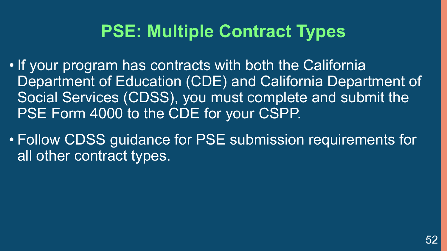#### **PSE: Multiple Contract Types**

- If your program has contracts with both the California Department of Education (CDE) and California Department of Social Services (CDSS), you must complete and submit the PSE Form 4000 to the CDE for your CSPP.
- Follow CDSS guidance for PSE submission requirements for all other contract types.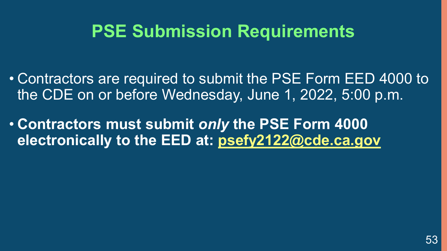#### **PSE Submission Requirements**

- Contractors are required to submit the PSE Form EED 4000 to the CDE on or before Wednesday, June 1, 2022, 5:00 p.m.
- **Contractors must submit** *only* **the PSE Form 4000 electronically to the EED at: [psefy2122@cde.ca.gov](mailto:psefy2122@cde.ca.gov)**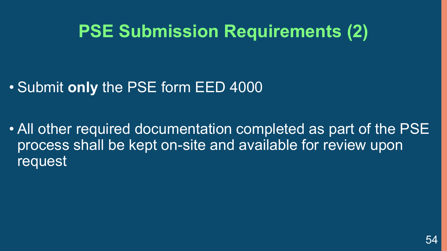#### **PSE Submission Requirements (2)**

#### • Submit **only** the PSE form EED 4000

• All other required documentation completed as part of the PSE process shall be kept on-site and available for review upon request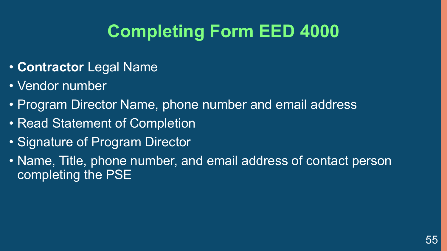## **Completing Form EED 4000**

#### • **Contractor** Legal Name

- Vendor number
- Program Director Name, phone number and email address
- Read Statement of Completion
- Signature of Program Director
- Name, Title, phone number, and email address of contact person completing the PSE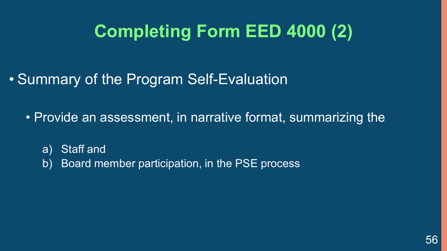## **Completing Form EED 4000 (2)**

- Summary of the Program Self-Evaluation
	- Provide an assessment, in narrative format, summarizing the
		- a) Staff and
		- b) Board member participation, in the PSE process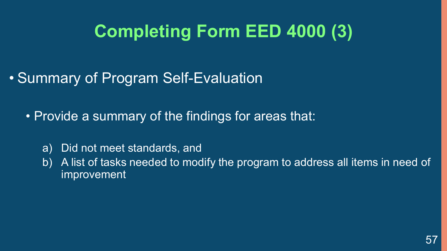## **Completing Form EED 4000 (3)**

- Summary of Program Self-Evaluation
	- Provide a summary of the findings for areas that:
		- a) Did not meet standards, and
		- b) A list of tasks needed to modify the program to address all items in need of improvement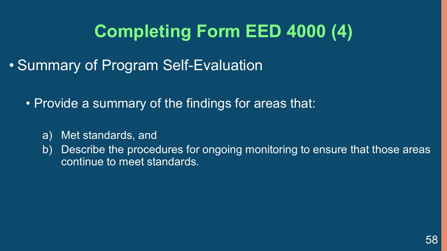## **Completing Form EED 4000 (4)**

- Summary of Program Self-Evaluation
	- Provide a summary of the findings for areas that:
		- a) Met standards, and
		- b) Describe the procedures for ongoing monitoring to ensure that those areas continue to meet standards.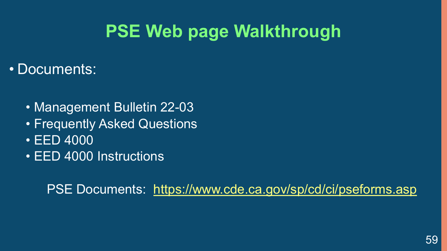## **PSE Web page Walkthrough**

#### • Documents:

- Management Bulletin 22-03
- Frequently Asked Questions
- EED 4000
- EED 4000 Instructions

PSE Documents: <https://www.cde.ca.gov/sp/cd/ci/pseforms.asp>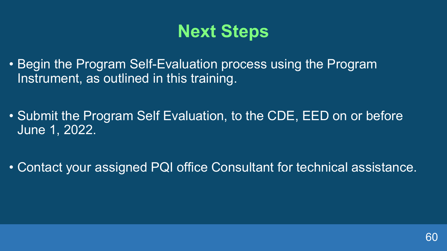#### **Next Steps**

- Begin the Program Self-Evaluation process using the Program Instrument, as outlined in this training.
- Submit the Program Self Evaluation, to the CDE, EED on or before June 1, 2022.
- Contact your assigned PQI office Consultant for technical assistance.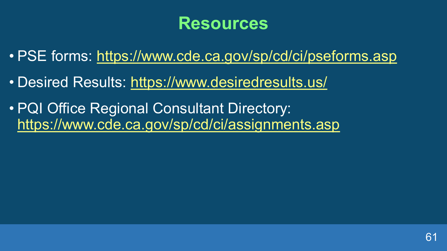#### **Resources**

- PSE forms: <https://www.cde.ca.gov/sp/cd/ci/pseforms.asp>
- Desired Results: <https://www.desiredresults.us/>
- PQI Office Regional Consultant Directory: <https://www.cde.ca.gov/sp/cd/ci/assignments.asp>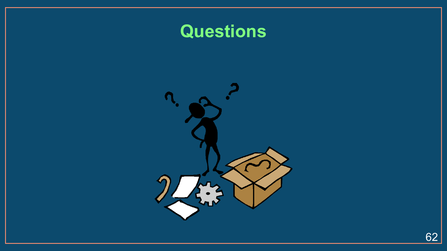